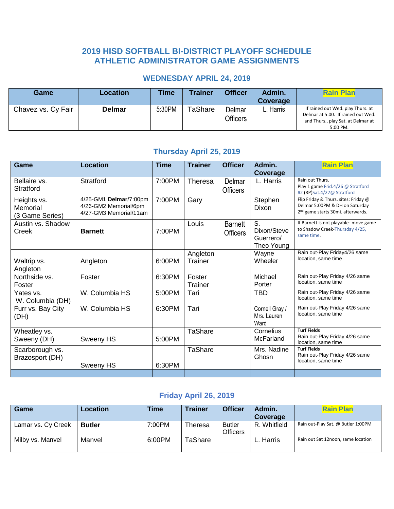### **2019 HISD SOFTBALL BI-DISTRICT PLAYOFF SCHEDULE ATHLETIC ADMINISTRATOR GAME ASSIGNMENTS**

#### **WEDNESDAY APRIL 24, 2019**

| Game               | Location      | <b>Time</b> | Trainer | <b>Officer</b>            | Admin.<br>Coverage | <b>Rain Plan</b>                                                                                                          |
|--------------------|---------------|-------------|---------|---------------------------|--------------------|---------------------------------------------------------------------------------------------------------------------------|
| Chavez vs. Cy Fair | <b>Delmar</b> | 5:30PM      | TaShare | Delmar<br><b>Officers</b> | L. Harris          | If rained out Wed. play Thurs. at<br>Delmar at 5:00. If rained out Wed.<br>and Thurs., play Sat. at Delmar at<br>5:00 PM. |

#### **Thursday April 25, 2019**

| Game                                       | <b>Location</b>                                                           | <b>Time</b> | <b>Trainer</b>      | <b>Officer</b>                    | Admin.<br><b>Coverage</b>                    | <b>Rain Plan</b>                                                                                                        |
|--------------------------------------------|---------------------------------------------------------------------------|-------------|---------------------|-----------------------------------|----------------------------------------------|-------------------------------------------------------------------------------------------------------------------------|
| Bellaire vs.<br>Stratford                  | Stratford                                                                 | 7:00PM      | Theresa             | Delmar<br><b>Officers</b>         | L. Harris                                    | Rain out Thurs.<br>Play 1 game Frid.4/26 @ Stratford<br>#2 (RP)Sat.4/27@ Stratford                                      |
| Heights vs.<br>Memorial<br>(3 Game Series) | 4/25-GM1 Delmar/7:00pm<br>4/26-GM2 Memorial/6pm<br>4/27-GM3 Memorial/11am | 7:00PM      | Gary                |                                   | Stephen<br>Dixon                             | Flip Friday & Thurs. sites: Friday @<br>Delmar 5:00PM & DH on Saturday<br>2 <sup>nd</sup> game starts 30mi. afterwards. |
| Austin vs. Shadow<br>Creek                 | <b>Barnett</b>                                                            | 7:00PM      | Louis               | <b>Barnett</b><br><b>Officers</b> | S.<br>Dixon/Steve<br>Guerrero/<br>Theo Young | If Barnett is not playable- move game<br>to Shadow Creek-Thursday 4/25,<br>same time.                                   |
| Waltrip vs.<br>Angleton                    | Angleton                                                                  | 6:00PM      | Angleton<br>Trainer |                                   | Wayne<br>Wheeler                             | Rain out-Play Friday4/26 same<br>location, same time                                                                    |
| Northside vs.<br>Foster                    | Foster                                                                    | 6:30PM      | Foster<br>Trainer   |                                   | Michael<br>Porter                            | Rain out-Play Friday 4/26 same<br>location, same time                                                                   |
| Yates vs.<br>W. Columbia (DH)              | W. Columbia HS                                                            | 5:00PM      | Tari                |                                   | <b>TBD</b>                                   | Rain out-Play Friday 4/26 same<br>location, same time                                                                   |
| Furr vs. Bay City<br>(DH)                  | W. Columbia HS                                                            | 6:30PM      | Tari                |                                   | Cornell Gray /<br>Mrs. Lauren<br>Ward        | Rain out-Play Friday 4/26 same<br>location, same time                                                                   |
| Wheatley vs.<br>Sweeny (DH)                | Sweeny HS                                                                 | 5:00PM      | TaShare             |                                   | Cornelius<br>McFarland                       | <b>Turf Fields</b><br>Rain out-Play Friday 4/26 same<br>location, same time                                             |
| Scarborough vs.<br>Brazosport (DH)         | Sweeny HS                                                                 | 6:30PM      | TaShare             |                                   | Mrs. Nadine<br>Ghosn                         | <b>Turf Fields</b><br>Rain out-Play Friday 4/26 same<br>location, same time                                             |
|                                            |                                                                           |             |                     |                                   |                                              |                                                                                                                         |

### **Friday April 26, 2019**

| Game               | Location      | Time   | <b>Trainer</b> | <b>Officer</b>                   | Admin.<br>Coverage | <b>Rain Plan</b>                   |
|--------------------|---------------|--------|----------------|----------------------------------|--------------------|------------------------------------|
| Lamar vs. Cy Creek | <b>Butler</b> | 7:00PM | <b>Theresa</b> | <b>Butler</b><br><b>Officers</b> | R. Whitfield       | Rain out-Play Sat. @ Butler 1:00PM |
| Milby vs. Manvel   | Manvel        | 6:00PM | TaShare        |                                  | L. Harris          | Rain out Sat 12noon, same location |